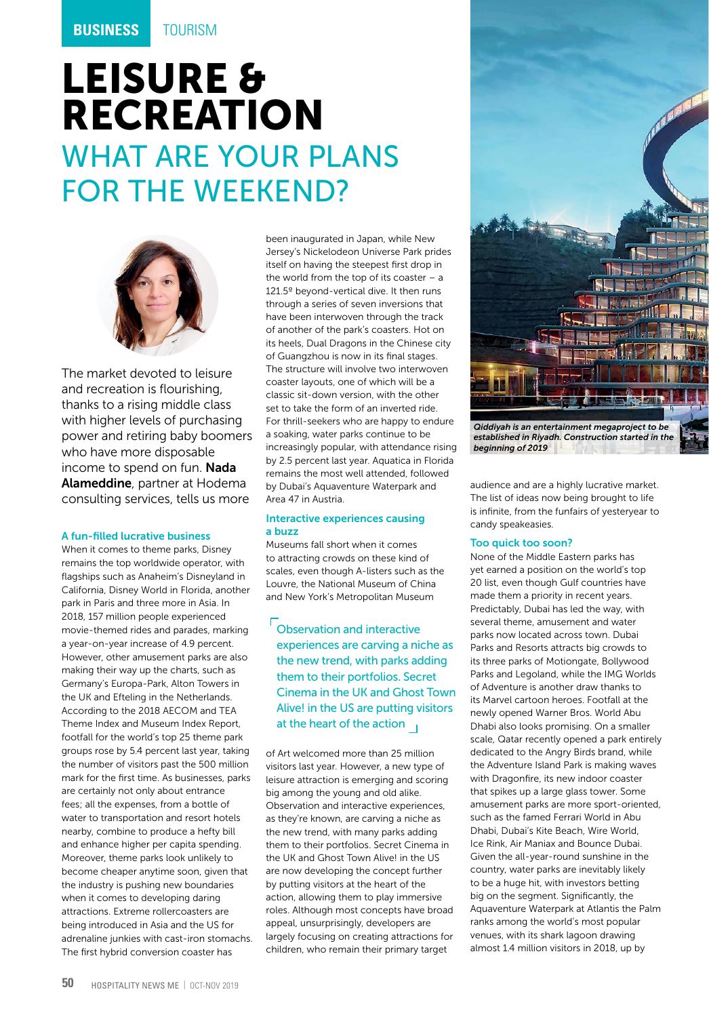## LEISURE & RECREATION WHAT ARE YOUR PLANS FOR THE WEEKEND?



The market devoted to leisure and recreation is flourishing, thanks to a rising middle class with higher levels of purchasing power and retiring baby boomers who have more disposable income to spend on fun. Nada Alameddine, partner at Hodema consulting services, tells us more

## A fun-filled lucrative business

When it comes to theme parks, Disney remains the top worldwide operator, with flagships such as Anaheim's Disneyland in California, Disney World in Florida, another park in Paris and three more in Asia. In 2018, 157 million people experienced movie-themed rides and parades, marking a year-on-year increase of 4.9 percent. However, other amusement parks are also making their way up the charts, such as Germany's Europa-Park, Alton Towers in the UK and Efteling in the Netherlands. According to the 2018 AECOM and TEA Theme Index and Museum Index Report, footfall for the world's top 25 theme park groups rose by 5.4 percent last year, taking the number of visitors past the 500 million mark for the first time. As businesses, parks are certainly not only about entrance fees; all the expenses, from a bottle of water to transportation and resort hotels nearby, combine to produce a hefty bill and enhance higher per capita spending. Moreover, theme parks look unlikely to become cheaper anytime soon, given that the industry is pushing new boundaries when it comes to developing daring attractions. Extreme rollercoasters are being introduced in Asia and the US for adrenaline junkies with cast-iron stomachs. The first hybrid conversion coaster has

been inaugurated in Japan, while New Jersey's Nickelodeon Universe Park prides itself on having the steepest first drop in the world from the top of its coaster  $-$  a 121.5º beyond-vertical dive. It then runs through a series of seven inversions that have been interwoven through the track of another of the park's coasters. Hot on its heels, Dual Dragons in the Chinese city of Guangzhou is now in its final stages. The structure will involve two interwoven coaster layouts, one of which will be a classic sit-down version, with the other set to take the form of an inverted ride. For thrill-seekers who are happy to endure a soaking, water parks continue to be increasingly popular, with attendance rising by 2.5 percent last year. Aquatica in Florida remains the most well attended, followed by Dubai's Aquaventure Waterpark and Area 47 in Austria.

## Interactive experiences causing a buzz

Museums fall short when it comes to attracting crowds on these kind of scales, even though A-listers such as the Louvre, the National Museum of China and New York's Metropolitan Museum

Observation and interactive experiences are carving a niche as the new trend, with parks adding them to their portfolios. Secret Cinema in the UK and Ghost Town Alive! in the US are putting visitors at the heart of the action  $\overline{1}$ 

of Art welcomed more than 25 million visitors last year. However, a new type of leisure attraction is emerging and scoring big among the young and old alike. Observation and interactive experiences, as they're known, are carving a niche as the new trend, with many parks adding them to their portfolios. Secret Cinema in the UK and Ghost Town Alive! in the US are now developing the concept further by putting visitors at the heart of the action, allowing them to play immersive roles. Although most concepts have broad appeal, unsurprisingly, developers are largely focusing on creating attractions for children, who remain their primary target



*established in Riyadh. Construction started in the beginning of 2019*

audience and are a highly lucrative market. The list of ideas now being brought to life is infinite, from the funfairs of yesteryear to candy speakeasies.

## Too quick too soon?

None of the Middle Eastern parks has yet earned a position on the world's top 20 list, even though Gulf countries have made them a priority in recent years. Predictably, Dubai has led the way, with several theme, amusement and water parks now located across town. Dubai Parks and Resorts attracts big crowds to its three parks of Motiongate, Bollywood Parks and Legoland, while the IMG Worlds of Adventure is another draw thanks to its Marvel cartoon heroes. Footfall at the newly opened Warner Bros. World Abu Dhabi also looks promising. On a smaller scale, Qatar recently opened a park entirely dedicated to the Angry Birds brand, while the Adventure Island Park is making waves with Dragonfire, its new indoor coaster that spikes up a large glass tower. Some amusement parks are more sport-oriented, such as the famed Ferrari World in Abu Dhabi, Dubai's Kite Beach, Wire World, Ice Rink, Air Maniax and Bounce Dubai. Given the all-year-round sunshine in the country, water parks are inevitably likely to be a huge hit, with investors betting big on the segment. Significantly, the Aquaventure Waterpark at Atlantis the Palm ranks among the world's most popular venues, with its shark lagoon drawing almost 1.4 million visitors in 2018, up by